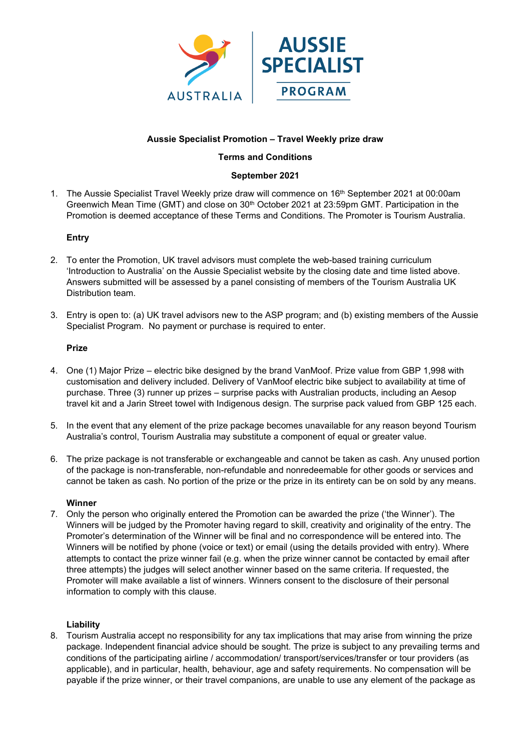

# **Aussie Specialist Promotion – Travel Weekly prize draw**

### **Terms and Conditions**

### **September 2021**

1. The Aussie Specialist Travel Weekly prize draw will commence on 16th September 2021 at 00:00am Greenwich Mean Time (GMT) and close on 30<sup>th</sup> October 2021 at 23:59pm GMT. Participation in the Promotion is deemed acceptance of these Terms and Conditions. The Promoter is Tourism Australia.

## **Entry**

- 2. To enter the Promotion, UK travel advisors must complete the web-based training curriculum 'Introduction to Australia' on the Aussie Specialist website by the closing date and time listed above. Answers submitted will be assessed by a panel consisting of members of the Tourism Australia UK Distribution team.
- 3. Entry is open to: (a) UK travel advisors new to the ASP program; and (b) existing members of the Aussie Specialist Program. No payment or purchase is required to enter.

#### **Prize**

- 4. One (1) Major Prize electric bike designed by the brand VanMoof. Prize value from GBP 1,998 with customisation and delivery included. Delivery of VanMoof electric bike subject to availability at time of purchase. Three (3) runner up prizes – surprise packs with Australian products, including an Aesop travel kit and a Jarin Street towel with Indigenous design. The surprise pack valued from GBP 125 each.
- 5. In the event that any element of the prize package becomes unavailable for any reason beyond Tourism Australia's control, Tourism Australia may substitute a component of equal or greater value.
- 6. The prize package is not transferable or exchangeable and cannot be taken as cash. Any unused portion of the package is non-transferable, non-refundable and nonredeemable for other goods or services and cannot be taken as cash. No portion of the prize or the prize in its entirety can be on sold by any means.

#### **Winner**

7. Only the person who originally entered the Promotion can be awarded the prize ('the Winner'). The Winners will be judged by the Promoter having regard to skill, creativity and originality of the entry. The Promoter's determination of the Winner will be final and no correspondence will be entered into. The Winners will be notified by phone (voice or text) or email (using the details provided with entry). Where attempts to contact the prize winner fail (e.g. when the prize winner cannot be contacted by email after three attempts) the judges will select another winner based on the same criteria. If requested, the Promoter will make available a list of winners. Winners consent to the disclosure of their personal information to comply with this clause.

#### **Liability**

8. Tourism Australia accept no responsibility for any tax implications that may arise from winning the prize package. Independent financial advice should be sought. The prize is subject to any prevailing terms and conditions of the participating airline / accommodation/ transport/services/transfer or tour providers (as applicable), and in particular, health, behaviour, age and safety requirements. No compensation will be payable if the prize winner, or their travel companions, are unable to use any element of the package as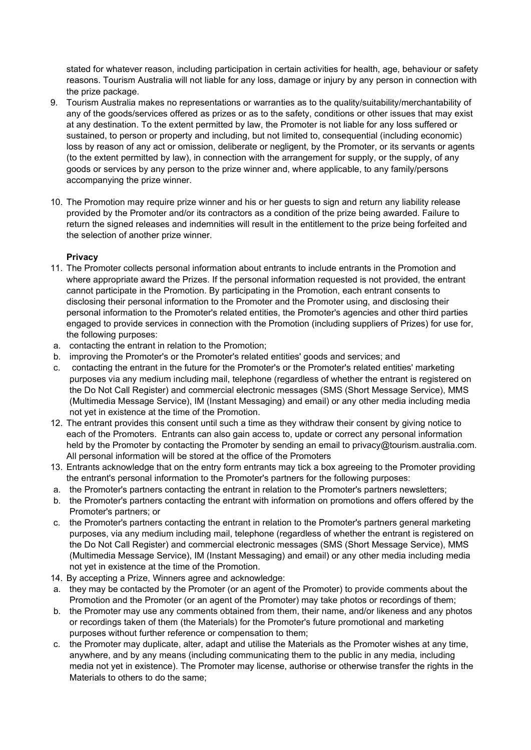stated for whatever reason, including participation in certain activities for health, age, behaviour or safety reasons. Tourism Australia will not liable for any loss, damage or injury by any person in connection with the prize package.

- 9. Tourism Australia makes no representations or warranties as to the quality/suitability/merchantability of any of the goods/services offered as prizes or as to the safety, conditions or other issues that may exist at any destination. To the extent permitted by law, the Promoter is not liable for any loss suffered or sustained, to person or property and including, but not limited to, consequential (including economic) loss by reason of any act or omission, deliberate or negligent, by the Promoter, or its servants or agents (to the extent permitted by law), in connection with the arrangement for supply, or the supply, of any goods or services by any person to the prize winner and, where applicable, to any family/persons accompanying the prize winner.
- 10. The Promotion may require prize winner and his or her guests to sign and return any liability release provided by the Promoter and/or its contractors as a condition of the prize being awarded. Failure to return the signed releases and indemnities will result in the entitlement to the prize being forfeited and the selection of another prize winner.

# **Privacy**

- 11. The Promoter collects personal information about entrants to include entrants in the Promotion and where appropriate award the Prizes. If the personal information requested is not provided, the entrant cannot participate in the Promotion. By participating in the Promotion, each entrant consents to disclosing their personal information to the Promoter and the Promoter using, and disclosing their personal information to the Promoter's related entities, the Promoter's agencies and other third parties engaged to provide services in connection with the Promotion (including suppliers of Prizes) for use for, the following purposes:
- a. contacting the entrant in relation to the Promotion;
- b. improving the Promoter's or the Promoter's related entities' goods and services; and
- c. contacting the entrant in the future for the Promoter's or the Promoter's related entities' marketing purposes via any medium including mail, telephone (regardless of whether the entrant is registered on the Do Not Call Register) and commercial electronic messages (SMS (Short Message Service), MMS (Multimedia Message Service), IM (Instant Messaging) and email) or any other media including media not yet in existence at the time of the Promotion.
- 12. The entrant provides this consent until such a time as they withdraw their consent by giving notice to each of the Promoters. Entrants can also gain access to, update or correct any personal information held by the Promoter by contacting the Promoter by sending an email to privacy@tourism.australia.com. All personal information will be stored at the office of the Promoters
- 13. Entrants acknowledge that on the entry form entrants may tick a box agreeing to the Promoter providing the entrant's personal information to the Promoter's partners for the following purposes:
- a. the Promoter's partners contacting the entrant in relation to the Promoter's partners newsletters;
- b. the Promoter's partners contacting the entrant with information on promotions and offers offered by the Promoter's partners; or
- c. the Promoter's partners contacting the entrant in relation to the Promoter's partners general marketing purposes, via any medium including mail, telephone (regardless of whether the entrant is registered on the Do Not Call Register) and commercial electronic messages (SMS (Short Message Service), MMS (Multimedia Message Service), IM (Instant Messaging) and email) or any other media including media not yet in existence at the time of the Promotion.
- 14. By accepting a Prize, Winners agree and acknowledge:
- a. they may be contacted by the Promoter (or an agent of the Promoter) to provide comments about the Promotion and the Promoter (or an agent of the Promoter) may take photos or recordings of them;
- b. the Promoter may use any comments obtained from them, their name, and/or likeness and any photos or recordings taken of them (the Materials) for the Promoter's future promotional and marketing purposes without further reference or compensation to them;
- c. the Promoter may duplicate, alter, adapt and utilise the Materials as the Promoter wishes at any time, anywhere, and by any means (including communicating them to the public in any media, including media not yet in existence). The Promoter may license, authorise or otherwise transfer the rights in the Materials to others to do the same;